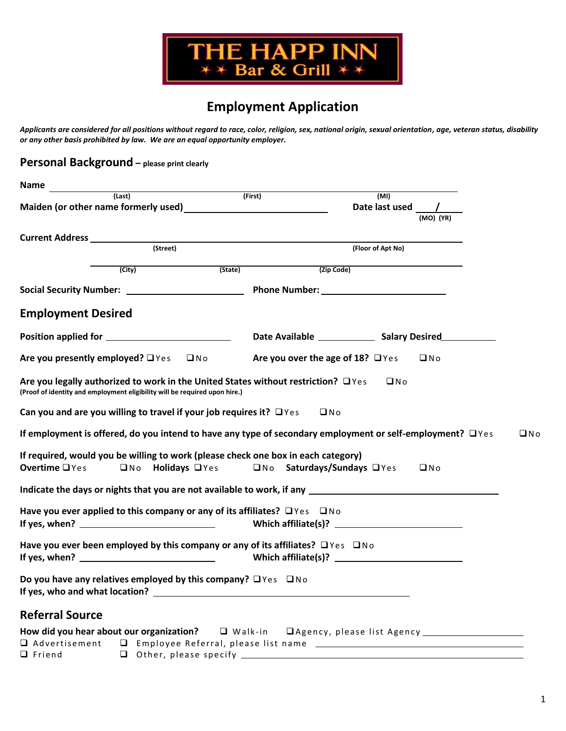

# **Employment Application**

*Applicants are considered for all positions without regard to race, color, religion, sex, national origin, sexual orientation, age, veteran status, disability or any other basis prohibited by law. We are an equal opportunity employer.*

**Personal Background – please print clearly**

| Name                                                                                                                                                                                                                                                                                                       |                                        |                   |           |            |
|------------------------------------------------------------------------------------------------------------------------------------------------------------------------------------------------------------------------------------------------------------------------------------------------------------|----------------------------------------|-------------------|-----------|------------|
| (Last)                                                                                                                                                                                                                                                                                                     | (First)                                | (MI)              |           |            |
|                                                                                                                                                                                                                                                                                                            |                                        | Date last used /  |           |            |
|                                                                                                                                                                                                                                                                                                            |                                        |                   | (MO) (YR) |            |
| <b>Current Address</b>                                                                                                                                                                                                                                                                                     |                                        |                   |           |            |
| (Street)                                                                                                                                                                                                                                                                                                   |                                        | (Floor of Apt No) |           |            |
| $\overline{(City)}$                                                                                                                                                                                                                                                                                        | (State)                                | (Zip Code)        |           |            |
|                                                                                                                                                                                                                                                                                                            |                                        |                   |           |            |
| <b>Employment Desired</b>                                                                                                                                                                                                                                                                                  |                                        |                   |           |            |
|                                                                                                                                                                                                                                                                                                            |                                        |                   |           |            |
| Are you presently employed? □ Yes □ No                                                                                                                                                                                                                                                                     | Are you over the age of 18? $\Box$ Yes |                   | $\Box$ No |            |
| Are you legally authorized to work in the United States without restriction? $\Box$ Yes<br>(Proof of identity and employment eligibility will be required upon hire.)                                                                                                                                      |                                        | $\square$ No      |           |            |
| Can you and are you willing to travel if your job requires it? $\Box$ Yes                                                                                                                                                                                                                                  |                                        | $\Box$ No         |           |            |
| If employment is offered, do you intend to have any type of secondary employment or self-employment? $\Box$ Yes                                                                                                                                                                                            |                                        |                   |           | $\n  Q No$ |
| If required, would you be willing to work (please check one box in each category)<br>Overtime <sub>1</sub> Yes<br>□No Holidays □Yes                                                                                                                                                                        | □No Saturdays/Sundays □Yes             |                   | $\Box$ No |            |
| Indicate the days or nights that you are not available to work, if any                                                                                                                                                                                                                                     |                                        |                   |           |            |
| Have you ever applied to this company or any of its affiliates? $\Box$ Yes $\Box$ No                                                                                                                                                                                                                       |                                        |                   |           |            |
| Have you ever been employed by this company or any of its affiliates? $\Box$ Yes $\Box$ No                                                                                                                                                                                                                 |                                        |                   |           |            |
| Do you have any relatives employed by this company? $\Box$ Yes $\Box$ No<br>If yes, who and what location? The contract of the contract of the contract of the contract of the contract of the contract of the contract of the contract of the contract of the contract of the contract of the contract of |                                        |                   |           |            |
| <b>Referral Source</b>                                                                                                                                                                                                                                                                                     |                                        |                   |           |            |
| □ Advertisement □ Employee Referral, please list name _________________________                                                                                                                                                                                                                            |                                        |                   |           |            |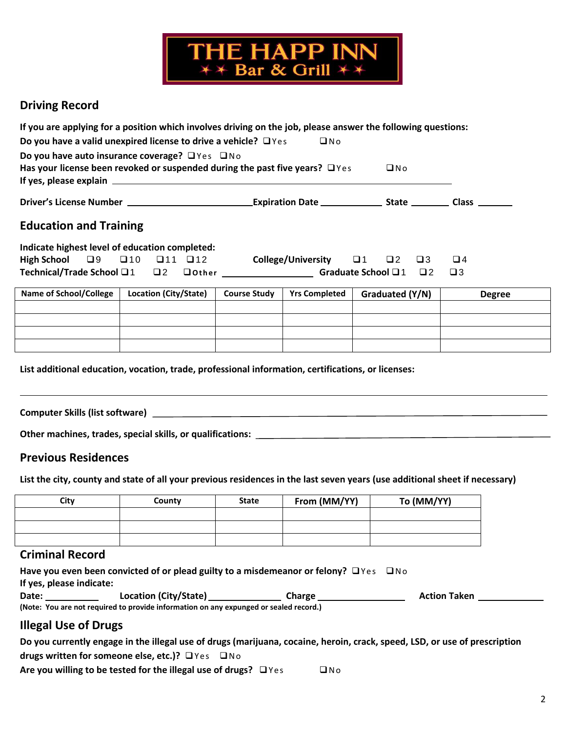

## **Driving Record**

| If you are applying for a position which involves driving on the job, please answer the following questions:                                   |                       |  |                     |                                                                     |  |                 |          |             |               |
|------------------------------------------------------------------------------------------------------------------------------------------------|-----------------------|--|---------------------|---------------------------------------------------------------------|--|-----------------|----------|-------------|---------------|
| Do you have a valid unexpired license to drive a vehicle? $\Box$ Yes<br>$\square$ No                                                           |                       |  |                     |                                                                     |  |                 |          |             |               |
| Do you have auto insurance coverage? $\Box$ Yes $\Box$ No<br>Has your license been revoked or suspended during the past five years? $\Box$ Yes |                       |  |                     |                                                                     |  | $\Box$ No       |          |             |               |
|                                                                                                                                                |                       |  |                     | _Expiration Date _________________ State __________ Class _________ |  |                 |          |             |               |
| <b>Education and Training</b>                                                                                                                  |                       |  |                     |                                                                     |  |                 |          |             |               |
| Indicate highest level of education completed:                                                                                                 |                       |  |                     |                                                                     |  |                 |          |             |               |
| High School $\Box 9$ $\Box 10$ $\Box 11$ $\Box 12$                                                                                             |                       |  |                     | College/University $\Box$ 1 $\Box$ 2 $\Box$ 3                       |  |                 |          | $\Box$ 4    |               |
| Technical/Trade School □ 1 □ 2                                                                                                                 |                       |  |                     | □ Other Graduate School □ 1                                         |  |                 | $\Box$ 2 | $\square$ 3 |               |
|                                                                                                                                                |                       |  |                     |                                                                     |  |                 |          |             |               |
| <b>Name of School/College</b>                                                                                                                  | Location (City/State) |  | <b>Course Study</b> | <b>Yrs Completed</b>                                                |  | Graduated (Y/N) |          |             | <b>Degree</b> |
|                                                                                                                                                |                       |  |                     |                                                                     |  |                 |          |             |               |

|  | ___________ | U | <b>PLEICE</b> |
|--|-------------|---|---------------|
|  |             |   |               |
|  |             |   |               |
|  |             |   |               |
|  |             |   |               |

and the control of the control of the control of the control of the control of the control of the control of the

**List additional education, vocation, trade, professional information, certifications, or licenses:**

**Computer Skills (list software)** 

**Other machines, trades, special skills, or qualifications:** 

#### **Previous Residences**

**List the city, county and state of all your previous residences in the last seven years (use additional sheet if necessary)**

| City | County | <b>State</b> | From (MM/YY) | To (MM/YY) |
|------|--------|--------------|--------------|------------|
|      |        |              |              |            |
|      |        |              |              |            |
|      |        |              |              |            |

### **Criminal Record**

**Have you even been convicted of or plead guilty to a misdemeanor or felony?**  $\Box$  Yes  $\Box$  No **If yes, please indicate:** Date: Location (City/State) Charge Charge Action Taken **(Note: You are not required to provide information on any expunged or sealed record.)**

### **Illegal Use of Drugs**

| Do you currently engage in the illegal use of drugs (marijuana, cocaine, heroin, crack, speed, LSD, or use of prescription |     |
|----------------------------------------------------------------------------------------------------------------------------|-----|
| drugs written for someone else, etc.)? $\Box$ Yes $\Box$ No                                                                |     |
| Are you willing to be tested for the illegal use of drugs? $\Box$ Yes                                                      | ONO |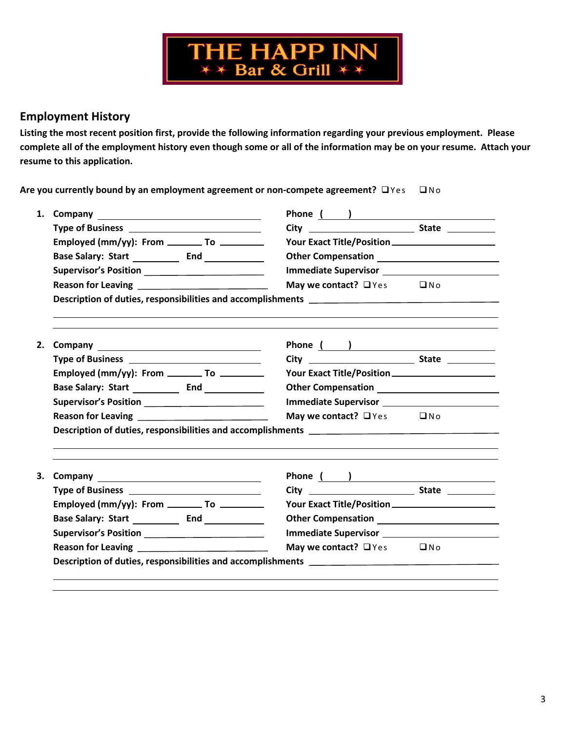

### **Employment History**

**Listing the most recent position first, provide the following information regarding your previous employment. Please complete all of the employment history even though some or all of the information may be on your resume. Attach your resume to this application.**

Are you currently bound by an employment agreement or non-compete agreement?  $\Box$  Yes  $\Box$  No

| 1. |                                                   |                                      |              |  |  |  |
|----|---------------------------------------------------|--------------------------------------|--------------|--|--|--|
|    |                                                   |                                      |              |  |  |  |
|    | Employed (mm/yy): From ________ To ________       |                                      |              |  |  |  |
|    |                                                   |                                      |              |  |  |  |
|    | Supervisor's Position ___________________________ |                                      |              |  |  |  |
|    |                                                   | May we contact? $\Box$ Yes $\Box$ No |              |  |  |  |
|    |                                                   |                                      |              |  |  |  |
|    |                                                   |                                      |              |  |  |  |
| 2. |                                                   | Phone ( )                            |              |  |  |  |
|    |                                                   |                                      |              |  |  |  |
|    | Employed (mm/yy): From __________ To _________    |                                      |              |  |  |  |
|    |                                                   |                                      |              |  |  |  |
|    | Supervisor's Position _________________________   |                                      |              |  |  |  |
|    |                                                   | May we contact? $\Box$ Yes           | $\square$ No |  |  |  |
|    |                                                   |                                      |              |  |  |  |
|    |                                                   |                                      |              |  |  |  |
|    |                                                   |                                      |              |  |  |  |
| 3. |                                                   | Phone ( )                            |              |  |  |  |
|    |                                                   |                                      |              |  |  |  |
|    | Employed (mm/yy): From _________ To _________     |                                      |              |  |  |  |
|    |                                                   |                                      |              |  |  |  |
|    | Supervisor's Position __________________________  | May we contact? $\Box$ Yes           | $\square$ No |  |  |  |